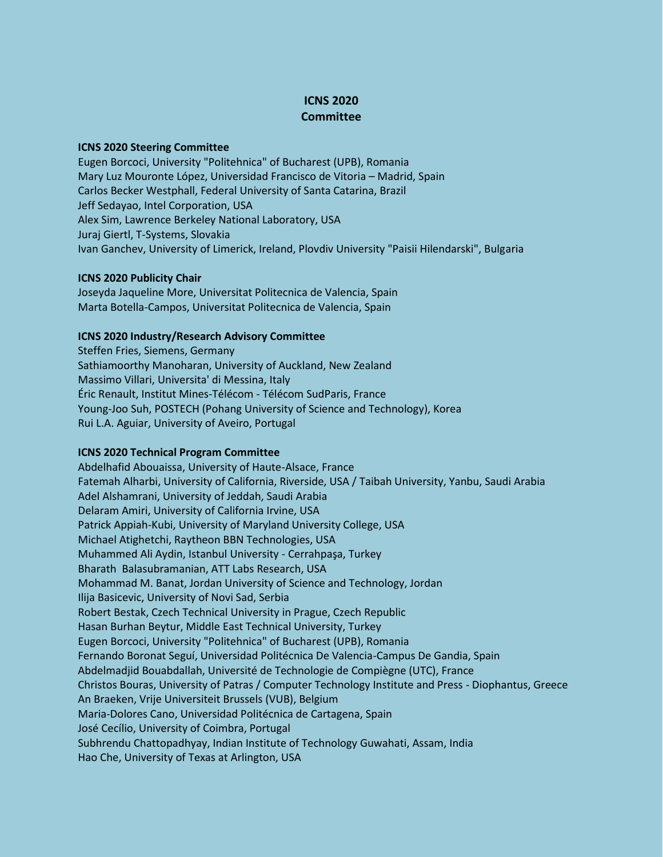# **ICNS 2020 Committee**

### **ICNS 2020 Steering Committee**

Eugen Borcoci, University "Politehnica" of Bucharest (UPB), Romania Mary Luz Mouronte López, Universidad Francisco de Vitoria – Madrid, Spain Carlos Becker Westphall, Federal University of Santa Catarina, Brazil Jeff Sedayao, Intel Corporation, USA Alex Sim, Lawrence Berkeley National Laboratory, USA Juraj Giertl, T-Systems, Slovakia Ivan Ganchev, University of Limerick, Ireland, Plovdiv University "Paisii Hilendarski", Bulgaria

### **ICNS 2020 Publicity Chair**

Joseyda Jaqueline More, Universitat Politecnica de Valencia, Spain Marta Botella-Campos, Universitat Politecnica de Valencia, Spain

# **ICNS 2020 Industry/Research Advisory Committee**

Steffen Fries, Siemens, Germany Sathiamoorthy Manoharan, University of Auckland, New Zealand Massimo Villari, Universita' di Messina, Italy Éric Renault, Institut Mines-Télécom - Télécom SudParis, France Young-Joo Suh, POSTECH (Pohang University of Science and Technology), Korea Rui L.A. Aguiar, University of Aveiro, Portugal

# **ICNS 2020 Technical Program Committee**

Abdelhafid Abouaissa, University of Haute-Alsace, France Fatemah Alharbi, University of California, Riverside, USA / Taibah University, Yanbu, Saudi Arabia Adel Alshamrani, University of Jeddah, Saudi Arabia Delaram Amiri, University of California Irvine, USA Patrick Appiah-Kubi, University of Maryland University College, USA Michael Atighetchi, Raytheon BBN Technologies, USA Muhammed Ali Aydin, Istanbul University - Cerrahpaşa, Turkey Bharath Balasubramanian, ATT Labs Research, USA Mohammad M. Banat, Jordan University of Science and Technology, Jordan Ilija Basicevic, University of Novi Sad, Serbia Robert Bestak, Czech Technical University in Prague, Czech Republic Hasan Burhan Beytur, Middle East Technical University, Turkey Eugen Borcoci, University "Politehnica" of Bucharest (UPB), Romania Fernando Boronat Seguí, Universidad Politécnica De Valencia-Campus De Gandia, Spain Abdelmadjid Bouabdallah, Université de Technologie de Compiègne (UTC), France Christos Bouras, University of Patras / Computer Technology Institute and Press - Diophantus, Greece An Braeken, Vrije Universiteit Brussels (VUB), Belgium Maria-Dolores Cano, Universidad Politécnica de Cartagena, Spain José Cecílio, University of Coimbra, Portugal Subhrendu Chattopadhyay, Indian Institute of Technology Guwahati, Assam, India Hao Che, University of Texas at Arlington, USA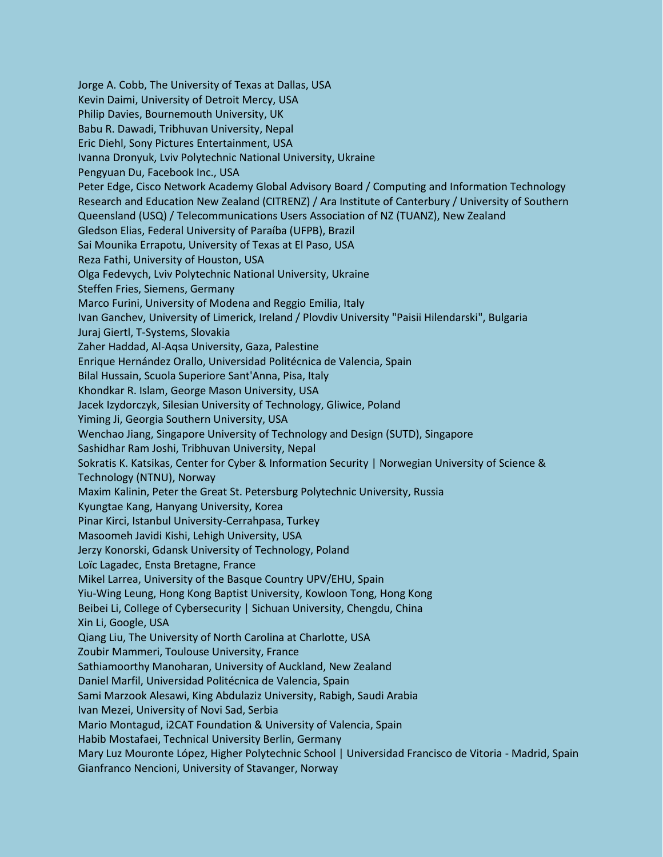Jorge A. Cobb, The University of Texas at Dallas, USA Kevin Daimi, University of Detroit Mercy, USA Philip Davies, Bournemouth University, UK Babu R. Dawadi, Tribhuvan University, Nepal Eric Diehl, Sony Pictures Entertainment, USA Ivanna Dronyuk, Lviv Polytechnic National University, Ukraine Pengyuan Du, Facebook Inc., USA Peter Edge, Cisco Network Academy Global Advisory Board / Computing and Information Technology Research and Education New Zealand (CITRENZ) / Ara Institute of Canterbury / University of Southern Queensland (USQ) / Telecommunications Users Association of NZ (TUANZ), New Zealand Gledson Elias, Federal University of Paraíba (UFPB), Brazil Sai Mounika Errapotu, University of Texas at El Paso, USA Reza Fathi, University of Houston, USA Olga Fedevych, Lviv Polytechnic National University, Ukraine Steffen Fries, Siemens, Germany Marco Furini, University of Modena and Reggio Emilia, Italy Ivan Ganchev, University of Limerick, Ireland / Plovdiv University "Paisii Hilendarski", Bulgaria Juraj Giertl, T-Systems, Slovakia Zaher Haddad, Al-Aqsa University, Gaza, Palestine Enrique Hernández Orallo, Universidad Politécnica de Valencia, Spain Bilal Hussain, Scuola Superiore Sant'Anna, Pisa, Italy Khondkar R. Islam, George Mason University, USA Jacek Izydorczyk, Silesian University of Technology, Gliwice, Poland Yiming Ji, Georgia Southern University, USA Wenchao Jiang, Singapore University of Technology and Design (SUTD), Singapore Sashidhar Ram Joshi, Tribhuvan University, Nepal Sokratis K. Katsikas, Center for Cyber & Information Security | Norwegian University of Science & Technology (NTNU), Norway Maxim Kalinin, Peter the Great St. Petersburg Polytechnic University, Russia Kyungtae Kang, Hanyang University, Korea Pinar Kirci, Istanbul University-Cerrahpasa, Turkey Masoomeh Javidi Kishi, Lehigh University, USA Jerzy Konorski, Gdansk University of Technology, Poland Loïc Lagadec, Ensta Bretagne, France Mikel Larrea, University of the Basque Country UPV/EHU, Spain Yiu-Wing Leung, Hong Kong Baptist University, Kowloon Tong, Hong Kong Beibei Li, College of Cybersecurity | Sichuan University, Chengdu, China Xin Li, Google, USA Qiang Liu, The University of North Carolina at Charlotte, USA Zoubir Mammeri, Toulouse University, France Sathiamoorthy Manoharan, University of Auckland, New Zealand Daniel Marfil, Universidad Politécnica de Valencia, Spain Sami Marzook Alesawi, King Abdulaziz University, Rabigh, Saudi Arabia Ivan Mezei, University of Novi Sad, Serbia Mario Montagud, i2CAT Foundation & University of Valencia, Spain Habib Mostafaei, Technical University Berlin, Germany Mary Luz Mouronte López, Higher Polytechnic School | Universidad Francisco de Vitoria - Madrid, Spain Gianfranco Nencioni, University of Stavanger, Norway